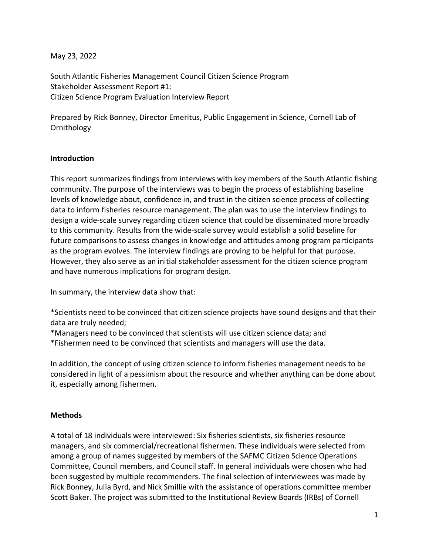May 23, 2022

South Atlantic Fisheries Management Council Citizen Science Program Stakeholder Assessment Report #1: Citizen Science Program Evaluation Interview Report

Prepared by Rick Bonney, Director Emeritus, Public Engagement in Science, Cornell Lab of Ornithology

### **Introduction**

This report summarizes findings from interviews with key members of the South Atlantic fishing community. The purpose of the interviews was to begin the process of establishing baseline levels of knowledge about, confidence in, and trust in the citizen science process of collecting data to inform fisheries resource management. The plan was to use the interview findings to design a wide-scale survey regarding citizen science that could be disseminated more broadly to this community. Results from the wide-scale survey would establish a solid baseline for future comparisons to assess changes in knowledge and attitudes among program participants as the program evolves. The interview findings are proving to be helpful for that purpose. However, they also serve as an initial stakeholder assessment for the citizen science program and have numerous implications for program design.

In summary, the interview data show that:

\*Scientists need to be convinced that citizen science projects have sound designs and that their data are truly needed;

\*Managers need to be convinced that scientists will use citizen science data; and

\*Fishermen need to be convinced that scientists and managers will use the data.

In addition, the concept of using citizen science to inform fisheries management needs to be considered in light of a pessimism about the resource and whether anything can be done about it, especially among fishermen.

#### **Methods**

A total of 18 individuals were interviewed: Six fisheries scientists, six fisheries resource managers, and six commercial/recreational fishermen. These individuals were selected from among a group of names suggested by members of the SAFMC Citizen Science Operations Committee, Council members, and Council staff. In general individuals were chosen who had been suggested by multiple recommenders. The final selection of interviewees was made by Rick Bonney, Julia Byrd, and Nick Smillie with the assistance of operations committee member Scott Baker. The project was submitted to the Institutional Review Boards (IRBs) of Cornell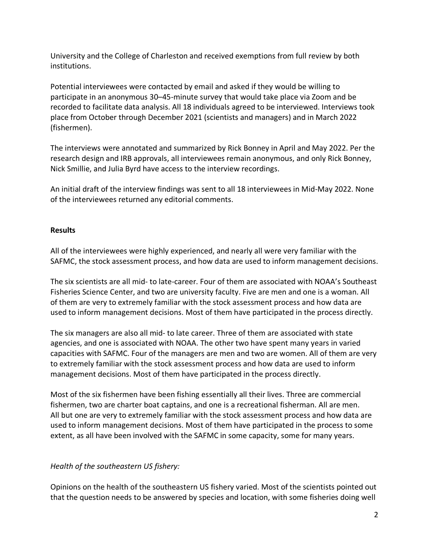University and the College of Charleston and received exemptions from full review by both institutions.

Potential interviewees were contacted by email and asked if they would be willing to participate in an anonymous 30–45-minute survey that would take place via Zoom and be recorded to facilitate data analysis. All 18 individuals agreed to be interviewed. Interviews took place from October through December 2021 (scientists and managers) and in March 2022 (fishermen).

The interviews were annotated and summarized by Rick Bonney in April and May 2022. Per the research design and IRB approvals, all interviewees remain anonymous, and only Rick Bonney, Nick Smillie, and Julia Byrd have access to the interview recordings.

An initial draft of the interview findings was sent to all 18 interviewees in Mid-May 2022. None of the interviewees returned any editorial comments.

## **Results**

All of the interviewees were highly experienced, and nearly all were very familiar with the SAFMC, the stock assessment process, and how data are used to inform management decisions.

The six scientists are all mid- to late-career. Four of them are associated with NOAA's Southeast Fisheries Science Center, and two are university faculty. Five are men and one is a woman. All of them are very to extremely familiar with the stock assessment process and how data are used to inform management decisions. Most of them have participated in the process directly.

The six managers are also all mid- to late career. Three of them are associated with state agencies, and one is associated with NOAA. The other two have spent many years in varied capacities with SAFMC. Four of the managers are men and two are women. All of them are very to extremely familiar with the stock assessment process and how data are used to inform management decisions. Most of them have participated in the process directly.

Most of the six fishermen have been fishing essentially all their lives. Three are commercial fishermen, two are charter boat captains, and one is a recreational fisherman. All are men. All but one are very to extremely familiar with the stock assessment process and how data are used to inform management decisions. Most of them have participated in the process to some extent, as all have been involved with the SAFMC in some capacity, some for many years.

# *Health of the southeastern US fishery:*

Opinions on the health of the southeastern US fishery varied. Most of the scientists pointed out that the question needs to be answered by species and location, with some fisheries doing well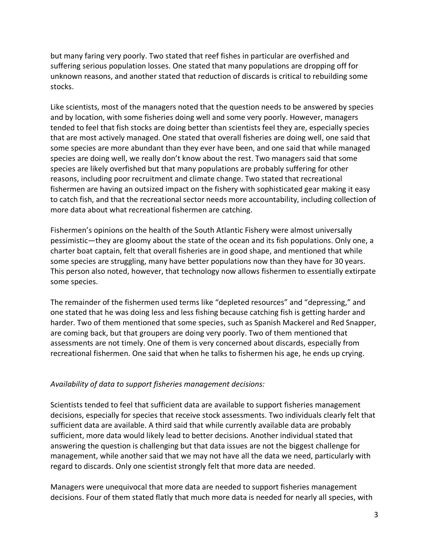but many faring very poorly. Two stated that reef fishes in particular are overfished and suffering serious population losses. One stated that many populations are dropping off for unknown reasons, and another stated that reduction of discards is critical to rebuilding some stocks.

Like scientists, most of the managers noted that the question needs to be answered by species and by location, with some fisheries doing well and some very poorly. However, managers tended to feel that fish stocks are doing better than scientists feel they are, especially species that are most actively managed. One stated that overall fisheries are doing well, one said that some species are more abundant than they ever have been, and one said that while managed species are doing well, we really don't know about the rest. Two managers said that some species are likely overfished but that many populations are probably suffering for other reasons, including poor recruitment and climate change. Two stated that recreational fishermen are having an outsized impact on the fishery with sophisticated gear making it easy to catch fish, and that the recreational sector needs more accountability, including collection of more data about what recreational fishermen are catching.

Fishermen's opinions on the health of the South Atlantic Fishery were almost universally pessimistic—they are gloomy about the state of the ocean and its fish populations. Only one, a charter boat captain, felt that overall fisheries are in good shape, and mentioned that while some species are struggling, many have better populations now than they have for 30 years. This person also noted, however, that technology now allows fishermen to essentially extirpate some species.

The remainder of the fishermen used terms like "depleted resources" and "depressing," and one stated that he was doing less and less fishing because catching fish is getting harder and harder. Two of them mentioned that some species, such as Spanish Mackerel and Red Snapper, are coming back, but that groupers are doing very poorly. Two of them mentioned that assessments are not timely. One of them is very concerned about discards, especially from recreational fishermen. One said that when he talks to fishermen his age, he ends up crying.

#### *Availability of data to support fisheries management decisions:*

Scientists tended to feel that sufficient data are available to support fisheries management decisions, especially for species that receive stock assessments. Two individuals clearly felt that sufficient data are available. A third said that while currently available data are probably sufficient, more data would likely lead to better decisions. Another individual stated that answering the question is challenging but that data issues are not the biggest challenge for management, while another said that we may not have all the data we need, particularly with regard to discards. Only one scientist strongly felt that more data are needed.

Managers were unequivocal that more data are needed to support fisheries management decisions. Four of them stated flatly that much more data is needed for nearly all species, with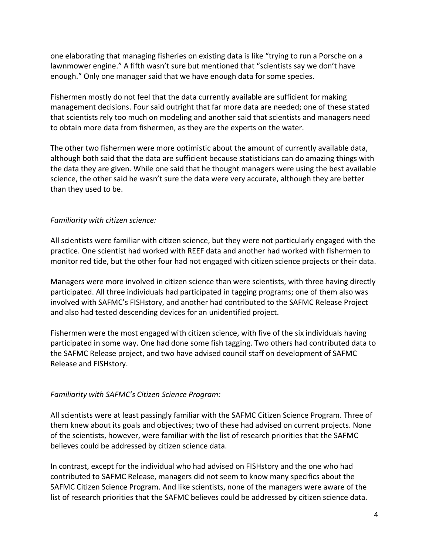one elaborating that managing fisheries on existing data is like "trying to run a Porsche on a lawnmower engine." A fifth wasn't sure but mentioned that "scientists say we don't have enough." Only one manager said that we have enough data for some species.

Fishermen mostly do not feel that the data currently available are sufficient for making management decisions. Four said outright that far more data are needed; one of these stated that scientists rely too much on modeling and another said that scientists and managers need to obtain more data from fishermen, as they are the experts on the water.

The other two fishermen were more optimistic about the amount of currently available data, although both said that the data are sufficient because statisticians can do amazing things with the data they are given. While one said that he thought managers were using the best available science, the other said he wasn't sure the data were very accurate, although they are better than they used to be.

### *Familiarity with citizen science:*

All scientists were familiar with citizen science, but they were not particularly engaged with the practice. One scientist had worked with REEF data and another had worked with fishermen to monitor red tide, but the other four had not engaged with citizen science projects or their data.

Managers were more involved in citizen science than were scientists, with three having directly participated. All three individuals had participated in tagging programs; one of them also was involved with SAFMC's FISHstory, and another had contributed to the SAFMC Release Project and also had tested descending devices for an unidentified project.

Fishermen were the most engaged with citizen science, with five of the six individuals having participated in some way. One had done some fish tagging. Two others had contributed data to the SAFMC Release project, and two have advised council staff on development of SAFMC Release and FISHstory.

### *Familiarity with SAFMC's Citizen Science Program:*

All scientists were at least passingly familiar with the SAFMC Citizen Science Program. Three of them knew about its goals and objectives; two of these had advised on current projects. None of the scientists, however, were familiar with the list of research priorities that the SAFMC believes could be addressed by citizen science data.

In contrast, except for the individual who had advised on FISHstory and the one who had contributed to SAFMC Release, managers did not seem to know many specifics about the SAFMC Citizen Science Program. And like scientists, none of the managers were aware of the list of research priorities that the SAFMC believes could be addressed by citizen science data.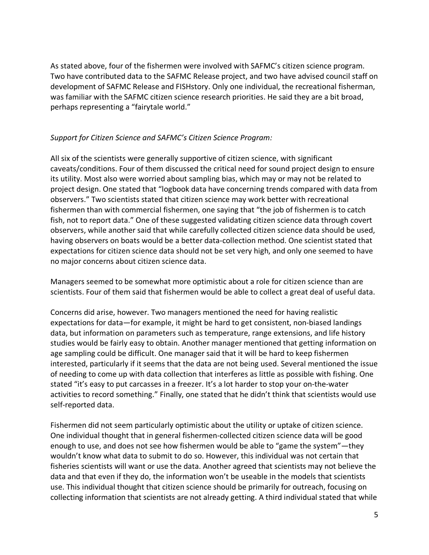As stated above, four of the fishermen were involved with SAFMC's citizen science program. Two have contributed data to the SAFMC Release project, and two have advised council staff on development of SAFMC Release and FISHstory. Only one individual, the recreational fisherman, was familiar with the SAFMC citizen science research priorities. He said they are a bit broad, perhaps representing a "fairytale world."

### *Support for Citizen Science and SAFMC's Citizen Science Program:*

All six of the scientists were generally supportive of citizen science, with significant caveats/conditions. Four of them discussed the critical need for sound project design to ensure its utility. Most also were worried about sampling bias, which may or may not be related to project design. One stated that "logbook data have concerning trends compared with data from observers." Two scientists stated that citizen science may work better with recreational fishermen than with commercial fishermen, one saying that "the job of fishermen is to catch fish, not to report data." One of these suggested validating citizen science data through covert observers, while another said that while carefully collected citizen science data should be used, having observers on boats would be a better data-collection method. One scientist stated that expectations for citizen science data should not be set very high, and only one seemed to have no major concerns about citizen science data.

Managers seemed to be somewhat more optimistic about a role for citizen science than are scientists. Four of them said that fishermen would be able to collect a great deal of useful data.

Concerns did arise, however. Two managers mentioned the need for having realistic expectations for data—for example, it might be hard to get consistent, non-biased landings data, but information on parameters such as temperature, range extensions, and life history studies would be fairly easy to obtain. Another manager mentioned that getting information on age sampling could be difficult. One manager said that it will be hard to keep fishermen interested, particularly if it seems that the data are not being used. Several mentioned the issue of needing to come up with data collection that interferes as little as possible with fishing. One stated "it's easy to put carcasses in a freezer. It's a lot harder to stop your on-the-water activities to record something." Finally, one stated that he didn't think that scientists would use self-reported data.

Fishermen did not seem particularly optimistic about the utility or uptake of citizen science. One individual thought that in general fishermen-collected citizen science data will be good enough to use, and does not see how fishermen would be able to "game the system"—they wouldn't know what data to submit to do so. However, this individual was not certain that fisheries scientists will want or use the data. Another agreed that scientists may not believe the data and that even if they do, the information won't be useable in the models that scientists use. This individual thought that citizen science should be primarily for outreach, focusing on collecting information that scientists are not already getting. A third individual stated that while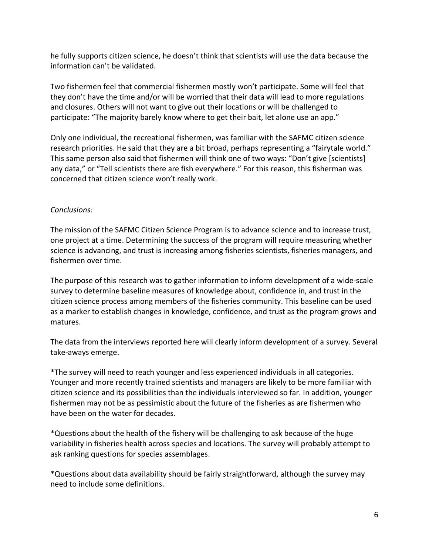he fully supports citizen science, he doesn't think that scientists will use the data because the information can't be validated.

Two fishermen feel that commercial fishermen mostly won't participate. Some will feel that they don't have the time and/or will be worried that their data will lead to more regulations and closures. Others will not want to give out their locations or will be challenged to participate: "The majority barely know where to get their bait, let alone use an app."

Only one individual, the recreational fishermen, was familiar with the SAFMC citizen science research priorities. He said that they are a bit broad, perhaps representing a "fairytale world." This same person also said that fishermen will think one of two ways: "Don't give [scientists] any data," or "Tell scientists there are fish everywhere." For this reason, this fisherman was concerned that citizen science won't really work.

### *Conclusions:*

The mission of the SAFMC Citizen Science Program is to advance science and to increase trust, one project at a time. Determining the success of the program will require measuring whether science is advancing, and trust is increasing among fisheries scientists, fisheries managers, and fishermen over time.

The purpose of this research was to gather information to inform development of a wide-scale survey to determine baseline measures of knowledge about, confidence in, and trust in the citizen science process among members of the fisheries community. This baseline can be used as a marker to establish changes in knowledge, confidence, and trust as the program grows and matures.

The data from the interviews reported here will clearly inform development of a survey. Several take-aways emerge.

\*The survey will need to reach younger and less experienced individuals in all categories. Younger and more recently trained scientists and managers are likely to be more familiar with citizen science and its possibilities than the individuals interviewed so far. In addition, younger fishermen may not be as pessimistic about the future of the fisheries as are fishermen who have been on the water for decades.

\*Questions about the health of the fishery will be challenging to ask because of the huge variability in fisheries health across species and locations. The survey will probably attempt to ask ranking questions for species assemblages.

\*Questions about data availability should be fairly straightforward, although the survey may need to include some definitions.